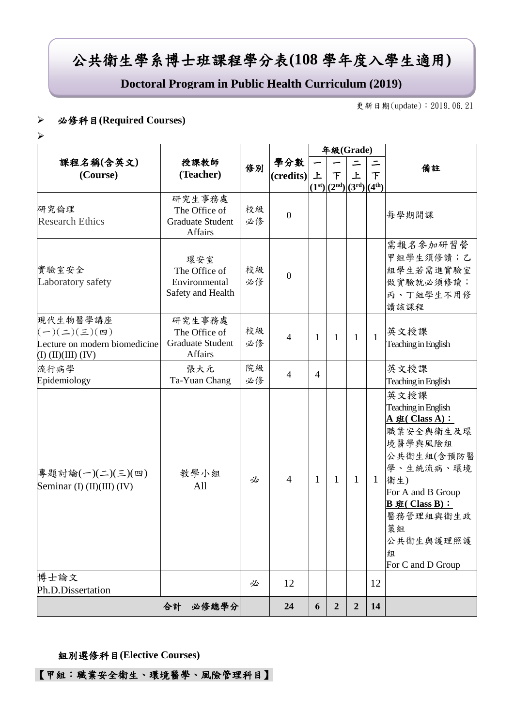# 公共衛生學系博士班課程學分表**(108** 學年度入學生適用**)**

**Doctoral Program in Public Health Curriculum (2019)**

更新日期(update):2019.06.21

#### 必修科目**(Required Courses)**

 $\blacktriangleright$ 

|                                                                                                          |                                                               | 修別       |                  |                | 年級(Grade)                        |                  |              |                                                                                                                                                                                                                 |
|----------------------------------------------------------------------------------------------------------|---------------------------------------------------------------|----------|------------------|----------------|----------------------------------|------------------|--------------|-----------------------------------------------------------------------------------------------------------------------------------------------------------------------------------------------------------------|
| 課程名稱(含英文)<br>(Course)                                                                                    | 授課教師                                                          |          | 學分數<br>(credits) |                |                                  | 備註               |              |                                                                                                                                                                                                                 |
|                                                                                                          | (Teacher)                                                     |          |                  | 上              | $\tau$<br>$(1st)(2nd)(3rd)(4th)$ | 上                | 下            |                                                                                                                                                                                                                 |
| 研究倫理<br><b>Research Ethics</b>                                                                           | 研究生事務處<br>The Office of<br><b>Graduate Student</b><br>Affairs | 校級<br>必修 | $\overline{0}$   |                |                                  |                  |              | 每學期開課                                                                                                                                                                                                           |
| 實驗室安全<br>Laboratory safety                                                                               | 環安室<br>The Office of<br>Environmental<br>Safety and Health    | 校級<br>必修 | $\boldsymbol{0}$ |                |                                  |                  |              | 需報名參加研習營<br>甲組學生須修讀;乙<br>組學生若需進實驗室<br>做實驗就必須修讀;<br>丙、丁組學生不用修<br>讀該課程                                                                                                                                            |
| 現代生物醫學講座<br>$(-)(\leq)(\leq)(\mathfrak{m})$<br>Lecture on modern biomedicine<br>$(I)$ $(II)(III)$ $(IV)$ | 研究生事務處<br>The Office of<br><b>Graduate Student</b><br>Affairs | 校級<br>必修 | $\overline{4}$   | 1              | 1                                | $\mathbf{1}$     | $\mathbf{1}$ | 英文授課<br>Teaching in English                                                                                                                                                                                     |
| 流行病學<br>Epidemiology                                                                                     | 張大元<br>Ta-Yuan Chang                                          | 院級<br>必修 | $\overline{4}$   | $\overline{4}$ |                                  |                  |              | 英文授課<br>Teaching in English                                                                                                                                                                                     |
| 專題討論(一)(二)(三)(四)<br>Seminar (I) (II)(III) (IV)                                                           | 教學小組<br>All                                                   | 必        | $\overline{4}$   | 1              | $\mathbf{1}$                     | $\mathbf{1}$     | $\mathbf{1}$ | 英文授課<br>Teaching in English<br>A $#$ (Class A):<br>職業安全與衛生及環<br>境醫學與風險組<br>公共衛生組(含預防醫<br>學、生統流病、環境<br>衛生)<br>For A and B Group<br>$B \# ( Class B) :$<br>醫務管理組與衛生政<br>策組<br>公共衛生與護理照護<br>組<br>For C and D Group |
| 博士論文<br>Ph.D.Dissertation                                                                                |                                                               | 必        | 12               |                |                                  |                  | 12           |                                                                                                                                                                                                                 |
|                                                                                                          | 合計<br>必修總學分                                                   |          | 24               | 6              | $\boldsymbol{2}$                 | $\boldsymbol{2}$ | 14           |                                                                                                                                                                                                                 |

#### 組別選修科目**(Elective Courses)**

【甲組:職業安全衛生、環境醫學、風險管理科目】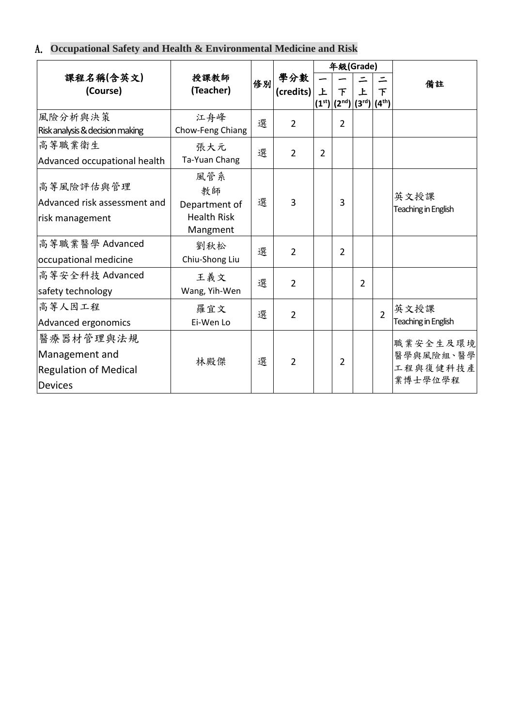### A. **Occupational Safety and Health & Environmental Medicine and Risk**

|                                                 |                                                      |    |                |                    | 年級(Grade) |                     |                |                             |
|-------------------------------------------------|------------------------------------------------------|----|----------------|--------------------|-----------|---------------------|----------------|-----------------------------|
| 課程名稱(含英文)<br>(Course)                           | 授課教師<br>(Teacher)                                    | 修別 | 學分數            | 上                  | 下         | $\mathbf{F}$        | 下              | 備註                          |
|                                                 |                                                      |    | (credits)      | (1 <sup>st</sup> ) |           | $(2nd) (3rd) (4th)$ |                |                             |
| 風險分析與決策<br>Risk analysis & decision making      | 江舟峰<br>選<br>Chow-Feng Chiang                         |    | $\overline{2}$ |                    | 2         |                     |                |                             |
| 高等職業衛生                                          | 張大元                                                  | 選  | $\overline{2}$ | $\overline{2}$     |           |                     |                |                             |
| Advanced occupational health                    | Ta-Yuan Chang                                        |    |                |                    |           |                     |                |                             |
| 高等風險評估與管理                                       | 風管系<br>教師                                            |    |                |                    |           |                     |                | 英文授課                        |
| Advanced risk assessment and<br>risk management | 選<br>Department of<br><b>Health Risk</b><br>Mangment |    | 3              |                    | 3         |                     |                | Teaching in English         |
| 高等職業醫學 Advanced<br>occupational medicine        | 劉秋松<br>Chiu-Shong Liu                                | 選  | $\overline{2}$ |                    | 2         |                     |                |                             |
| 高等安全科技 Advanced<br>safety technology            | 王義文<br>Wang, Yih-Wen                                 | 選  | $\overline{2}$ |                    |           | $\overline{2}$      |                |                             |
| 高等人因工程<br>Advanced ergonomics                   | 羅宜文<br>Ei-Wen Lo                                     | 選  | $\overline{2}$ |                    |           |                     | $\overline{2}$ | 英文授課<br>Teaching in English |
| 醫療器材管理與法規                                       |                                                      |    |                |                    |           |                     |                | 職業安全生及環境                    |
| Management and                                  | 林殿傑                                                  | 選  | $\overline{2}$ |                    | 2         |                     |                | 醫學與風險組、醫學                   |
| <b>Regulation of Medical</b>                    |                                                      |    |                |                    |           |                     |                | 工程與復健科技產<br>業博士學位學程         |
| <b>Devices</b>                                  |                                                      |    |                |                    |           |                     |                |                             |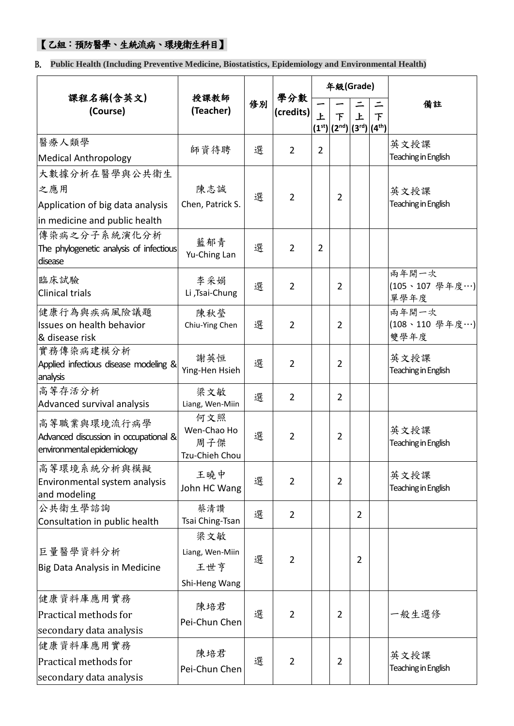### 【乙組:預防醫學、生統流病、環境衛生科目】

B. **Public Health (Including Preventive Medicine, Biostatistics, Epidemiology and Environmental Health)**

|                                               |                        |    |                  |                | 年級(Grade)              |                |                    |                             |
|-----------------------------------------------|------------------------|----|------------------|----------------|------------------------|----------------|--------------------|-----------------------------|
| 課程名稱(含英文)<br>(Course)                         | 授課教師<br>(Teacher)      | 修別 | 學分數<br>(credits) | $\overline{E}$ | 下                      | 上              | $\equiv$<br>$\top$ | 備註                          |
|                                               |                        |    |                  |                | $(1st)(2nd)(3rd)(4th)$ |                |                    |                             |
| 醫療人類學                                         | 師資待聘                   | 選  | $\overline{2}$   | $\overline{2}$ |                        |                |                    | 英文授課                        |
| <b>Medical Anthropology</b>                   |                        |    |                  |                |                        |                |                    | Teaching in English         |
| 大數據分析在醫學與公共衛生                                 |                        |    |                  |                |                        |                |                    |                             |
| 之應用                                           | 陳志誠                    | 選  | $\overline{2}$   |                | $\overline{2}$         |                |                    | 英文授課                        |
| Application of big data analysis              | Chen, Patrick S.       |    |                  |                |                        |                |                    | Teaching in English         |
| in medicine and public health                 |                        |    |                  |                |                        |                |                    |                             |
| 傳染病之分子系統演化分析                                  | 藍郁青                    |    |                  |                |                        |                |                    |                             |
| The phylogenetic analysis of infectious       | Yu-Ching Lan           | 選  | $\overline{2}$   | $\overline{2}$ |                        |                |                    |                             |
| disease                                       |                        |    |                  |                |                        |                |                    | 兩年開一次                       |
| 臨床試驗                                          | 李采娟                    | 選  | $\overline{2}$   |                | 2                      |                |                    | (105、107 學年度…)              |
| <b>Clinical trials</b>                        | Li ,Tsai-Chung         |    |                  |                |                        |                |                    | 單學年度                        |
| 健康行為與疾病風險議題                                   | 陳秋瑩                    |    |                  |                |                        |                |                    | 兩年開一次                       |
| Issues on health behavior<br>& disease risk   | Chiu-Ying Chen         | 選  | $\overline{2}$   |                | 2                      |                |                    | (108、110 學年度…)<br>雙學年度      |
| 實務傳染病建模分析                                     |                        |    |                  |                |                        |                |                    |                             |
| Applied infectious disease modeling &         | 謝英恒                    | 選  | $\overline{2}$   |                | 2                      |                |                    | 英文授課<br>Teaching in English |
| analysis                                      | Ying-Hen Hsieh         |    |                  |                |                        |                |                    |                             |
| 高等存活分析                                        | 梁文敏                    | 選  | $\overline{2}$   |                | 2                      |                |                    |                             |
| Advanced survival analysis                    | Liang, Wen-Miin<br>何文照 |    |                  |                |                        |                |                    |                             |
| 高等職業與環境流行病學                                   | Wen-Chao Ho            |    |                  |                |                        |                |                    | 英文授課                        |
| Advanced discussion in occupational &         | 周子傑                    | 選  | 2                |                | 2                      |                |                    | Teaching in English         |
| environmental epidemiology                    | Tzu-Chieh Chou         |    |                  |                |                        |                |                    |                             |
| 高等環境系統分析與模擬                                   | 王曉中                    | 選  |                  |                |                        |                |                    | 英文授課                        |
| Environmental system analysis<br>and modeling | John HC Wang           |    | $\overline{2}$   |                | $\overline{2}$         |                |                    | Teaching in English         |
| 公共衛生學諮詢                                       | 蔡清讚                    |    |                  |                |                        |                |                    |                             |
| Consultation in public health                 | Tsai Ching-Tsan        | 選  | $\overline{2}$   |                |                        | $\overline{2}$ |                    |                             |
|                                               | 梁文敏                    |    |                  |                |                        |                |                    |                             |
| 巨量醫學資料分析                                      | Liang, Wen-Miin        | 選  | 2                |                |                        | $\overline{2}$ |                    |                             |
| Big Data Analysis in Medicine                 | 王世亨                    |    |                  |                |                        |                |                    |                             |
|                                               | Shi-Heng Wang          |    |                  |                |                        |                |                    |                             |
| 健康資料庫應用實務                                     | 陳培君                    |    |                  |                |                        |                |                    |                             |
| Practical methods for                         | Pei-Chun Chen          | 選  |                  |                | 2                      |                |                    | 一般生選修                       |
| secondary data analysis                       |                        |    |                  |                |                        |                |                    |                             |
| 健康資料庫應用實務                                     | 陳培君                    |    |                  |                |                        |                |                    |                             |
| Practical methods for                         | Pei-Chun Chen          | 選  | $\overline{2}$   |                | 2                      |                |                    | 英文授課<br>Teaching in English |
| secondary data analysis                       |                        |    |                  |                |                        |                |                    |                             |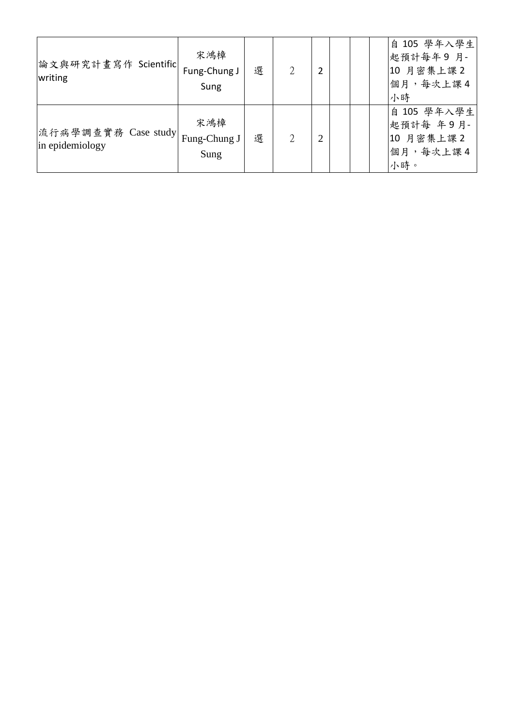| 論文與研究計畫寫作 Scientific <br>writing       | 宋鴻樟<br>Fung-Chung J<br>Sung | 選 | 2 | 2 |  | 自 105 學年入學生<br>起預計每年9月-<br>10 月密集上課2<br>個月,每次上課4<br>小時    |
|----------------------------------------|-----------------------------|---|---|---|--|-----------------------------------------------------------|
| 流行病學調查實務 Case study<br>in epidemiology | 宋鴻樟<br>Fung-Chung J<br>Sung | 選 |   | 2 |  | 自 105 學年入學生<br>起預計每 年9月-<br>10 月密集上課 2<br>個月,每次上課4<br>小時。 |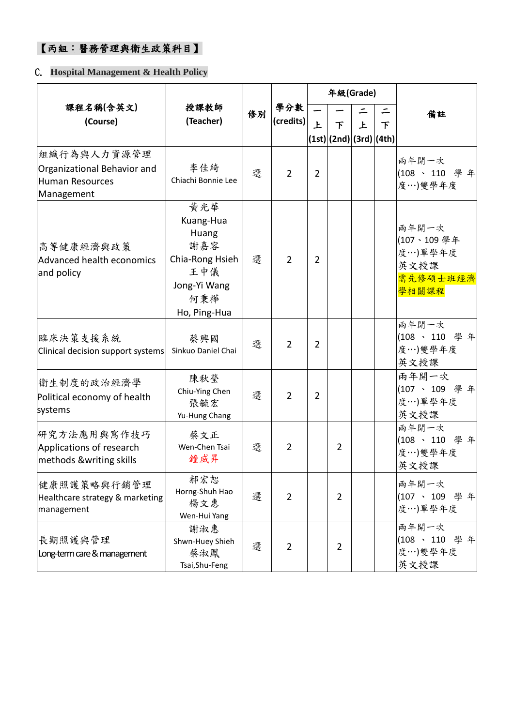### 【丙組:醫務管理與衛生政策科目】

#### C. **Hospital Management & Health Policy**

|                                                                             |                                                                                                   |    |                  |                | 年級(Grade)                    |   |   |                                                             |
|-----------------------------------------------------------------------------|---------------------------------------------------------------------------------------------------|----|------------------|----------------|------------------------------|---|---|-------------------------------------------------------------|
| 課程名稱(含英文)<br>(Course)                                                       | 授課教師<br>(Teacher)                                                                                 | 修別 | 學分數<br>(credits) |                | 下<br>(1st) (2nd) (3rd) (4th) | 上 | 下 | 備註                                                          |
| 組織行為與人力資源管理<br>Organizational Behavior and<br>Human Resources<br>Management | 李佳綺<br>Chiachi Bonnie Lee                                                                         | 選  | $\overline{2}$   | $\overline{2}$ |                              |   |   | 兩年開一次<br>(108、110 學年<br>度…)雙學年度                             |
| 高等健康經濟與政策<br>Advanced health economics<br>and policy                        | 黃光華<br>Kuang-Hua<br>Huang<br>謝嘉容<br>Chia-Rong Hsieh<br>王中儀<br>Jong-Yi Wang<br>何秉樺<br>Ho, Ping-Hua | 選  | $\overline{2}$   | $\overline{2}$ |                              |   |   | 兩年開一次<br>(107、109學年<br>度…)單學年度<br>英文授課<br>需先修碩士班經濟<br>學相關課程 |
| 臨床決策支援系統<br>Clinical decision support systems                               | 蔡興國<br>Sinkuo Daniel Chai                                                                         | 選  | $\overline{2}$   | $\overline{2}$ |                              |   |   | 兩年開一次<br>(108、110 學年<br>度…)雙學年度<br>英文授課                     |
| 衛生制度的政治經濟學<br>Political economy of health<br>systems                        | 陳秋瑩<br>Chiu-Ying Chen<br>張毓宏<br>Yu-Hung Chang                                                     | 選  | $\overline{2}$   | $\overline{2}$ |                              |   |   | 兩年開一次<br>(107、109 學年<br>度…)單學年度<br>英文授課                     |
| 研究方法應用與寫作技巧<br>Applications of research<br>methods &writing skills          | 蔡文正<br>Wen-Chen Tsai<br>鐘威昇                                                                       | 選  | $\overline{2}$   |                | $\overline{2}$               |   |   | 兩年開一次<br>(108、110 學年<br>度…)雙學年度<br>英文授課                     |
| 健康照護策略與行銷管理<br>Healthcare strategy & marketing<br>management                | 郝宏恕<br>Horng-Shuh Hao<br>楊文惠<br>Wen-Hui Yang                                                      | 選  | $\overline{2}$   |                | $\overline{2}$               |   |   | 兩年開一次<br>(107、109 學年<br>度…)單學年度                             |
| 長期照護與管理<br>Long-term care & management                                      | 謝淑惠<br>Shwn-Huey Shieh<br>蔡淑鳳<br>Tsai, Shu-Feng                                                   | 選  | $\overline{2}$   |                | $\overline{2}$               |   |   | 兩年開一次<br>(108、110 學年<br>度…)雙學年度<br>英文授課                     |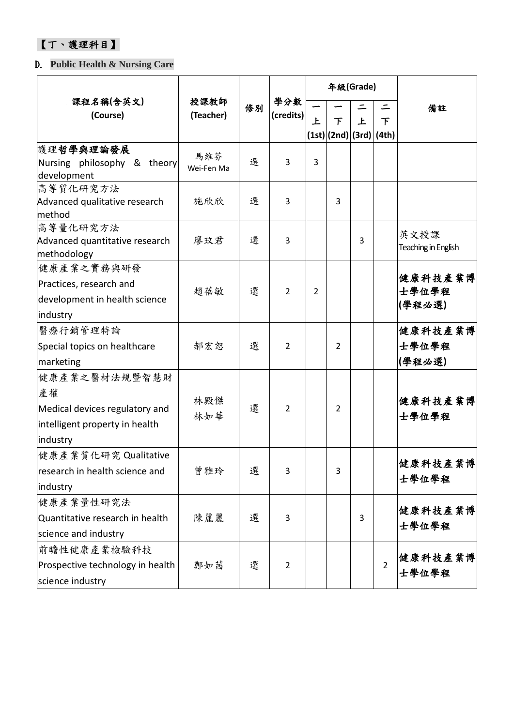### 【丁、護理科目】

### D. **Public Health & Nursing Care**

|                                                                                                     |                   |                         | 學分數            |                |                               | 年級(Grade) |                |                             |
|-----------------------------------------------------------------------------------------------------|-------------------|-------------------------|----------------|----------------|-------------------------------|-----------|----------------|-----------------------------|
| 課程名稱(含英文)<br>(Course)                                                                               | (Teacher)         | 授課教師<br>修別<br>(credits) |                | 上              | 下<br> (1st) (2nd) (3rd) (4th) | 上         | ニ<br>下         | 備註                          |
| 護理哲學與理論發展<br>Nursing philosophy & theory<br>development                                             | 馬維芬<br>Wei-Fen Ma | 選                       | 3              | 3              |                               |           |                |                             |
| 高等質化研究方法<br>Advanced qualitative research<br>method                                                 | 施欣欣               | 選                       | 3              |                | 3                             |           |                |                             |
| 高等量化研究方法<br>Advanced quantitative research<br>methodology                                           | 廖玟君               | 選                       | 3              |                |                               | 3         |                | 英文授課<br>Teaching in English |
| 健康產業之實務與研發<br>Practices, research and<br>development in health science<br>industry                  | 趙蓓敏               | 選                       | $\overline{2}$ | $\overline{2}$ |                               |           |                | 健康科技產業博<br>士學位學程<br>(學程必選)  |
| 醫療行銷管理特論<br>Special topics on healthcare<br>marketing                                               | 郝宏恕               | 選                       | $\overline{2}$ |                | $\overline{2}$                |           |                | 健康科技產業博<br>士學位學程<br>(學程必選)  |
| 健康產業之醫材法規暨智慧財<br>產權<br>Medical devices regulatory and<br>intelligent property in health<br>industry | 林殿傑<br>林如華        | 選                       | $\overline{2}$ |                | $\overline{2}$                |           |                | 健康科技產業博<br>士學位學程            |
| 健康產業質化研究 Qualitative<br>research in health science and<br>industry                                  | 曾雅玲               | 選                       | 3              |                | 3                             |           |                | 健康科技產業博<br>士學位學程            |
| 健康產業量性研究法<br>Quantitative research in health<br>science and industry                                | 陳麗麗               | 選                       | 3              |                |                               | 3         |                | 健康科技產業博<br>士學位學程            |
| 前瞻性健康產業檢驗科技<br>Prospective technology in health<br>science industry                                 | 鄭如茜               | 選                       | $\overline{2}$ |                |                               |           | $\overline{2}$ | 健康科技產業博<br>士學位學程            |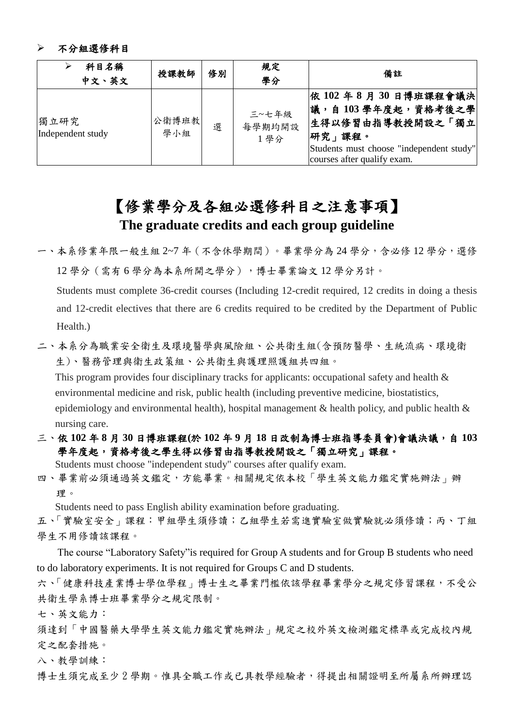#### 不分組選修科目

| 科目名稱<br>中文、英文             | 授課教師          | 修別 | 規定<br>學分               | 備註                                                                                                                                                       |
|---------------------------|---------------|----|------------------------|----------------------------------------------------------------------------------------------------------------------------------------------------------|
| 獨立研究<br>Independent study | 公衛博班教 <br>學小組 | 選  | 三~七年級<br>每學期均開設<br>1學分 | 依 102 年 8 月 30 日博班課程會議決 <br> 議,自103學年度起,資格考後之學<br>生得以修習由指導教授開設之「獨立<br> 研究」課程。<br>Students must choose "independent study"<br>courses after qualify exam. |

## 【修業學分及各組必選修科目之注意事項】 **The graduate credits and each group guideline**

一、本系修業年限一般生組 2~7 年(不含休學期間)。畢業學分為 24 學分,含必修 12 學分,選修 12 學分(需有 6 學分為本系所開之學分),博士畢業論文 12 學分另計。

Students must complete 36-credit courses (Including 12-credit required, 12 credits in doing a thesis and 12-credit electives that there are 6 credits required to be credited by the Department of Public Health.)

二、本系分為職業安全衛生及環境醫學與風險組、公共衛生組(含預防醫學、生統流病、環境衛 生)、醫務管理與衛生政策組、公共衛生與護理照護組共四組。

This program provides four disciplinary tracks for applicants: occupational safety and health & environmental medicine and risk, public health (including preventive medicine, biostatistics, epidemiology and environmental health), hospital management  $\&$  health policy, and public health  $\&$ nursing care.

三、依 **102** 年 **8** 月 **30** 日博班課程**(**於 **102** 年 **9** 月 **18** 日改制為博士班指導委員會**)**會議決議,自 **103** 學年度起,資格考後之學生得以修習由指導教授開設之「獨立研究」課程。

Students must choose "independent study" courses after qualify exam. 四、畢業前必須通過英文鑑定,方能畢業。相關規定依本校「學生英文能力鑑定實施辦法」辦

Students need to pass English ability examination before graduating.

五、「實驗室安全」課程:甲組學生須修讀;乙組學生若需進實驗室做實驗就必須修讀;丙、丁組 學生不用修讀該課程。

The course "Laboratory Safety"is required for Group A students and for Group B students who need to do laboratory experiments. It is not required for Groups C and D students.

六、「健康科技產業博士學位學程」博士生之畢業門檻依該學程畢業學分之規定修習課程,不受公 共衛生學系博士班畢業學分之規定限制。

七、英文能力:

理。

須達到「中國醫藥大學學生英文能力鑑定實施辦法」規定之校外英文檢測鑑定標準或完成校內規 定之配套措施。

八、教學訓練:

博士生須完成至少2學期。惟具全職工作或已具教學經驗者,得提出相關證明至所屬系所辦理認